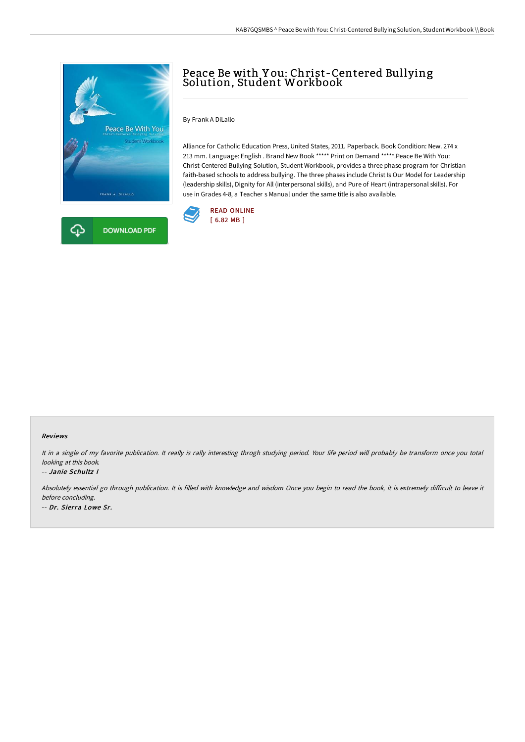

# Peace Be with Y ou: Christ-Centered Bullying Solution, Student Workbook

By Frank A DiLallo

Alliance for Catholic Education Press, United States, 2011. Paperback. Book Condition: New. 274 x 213 mm. Language: English . Brand New Book \*\*\*\*\* Print on Demand \*\*\*\*\*.Peace Be With You: Christ-Centered Bullying Solution, Student Workbook, provides a three phase program for Christian faith-based schools to address bullying. The three phases include Christ Is Our Model for Leadership (leadership skills), Dignity for All (interpersonal skills), and Pure of Heart (intrapersonal skills). For use in Grades 4-8, a Teacher s Manual under the same title is also available.



#### Reviews

It in <sup>a</sup> single of my favorite publication. It really is rally interesting throgh studying period. Your life period will probably be transform once you total looking at this book.

#### -- Janie Schultz I

Absolutely essential go through publication. It is filled with knowledge and wisdom Once you begin to read the book, it is extremely difficult to leave it before concluding. -- Dr. Sierra Lowe Sr.